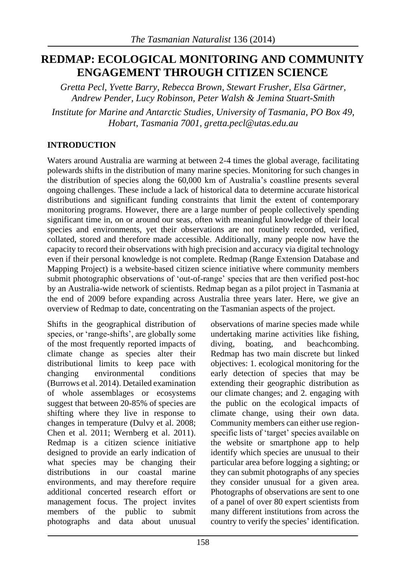# **REDMAP: ECOLOGICAL MONITORING AND COMMUNITY ENGAGEMENT THROUGH CITIZEN SCIENCE**

*Gretta Pecl, Yvette Barry, Rebecca Brown, Stewart Frusher, Elsa Gärtner, Andrew Pender, Lucy Robinson, Peter Walsh & Jemina Stuart-Smith*

*Institute for Marine and Antarctic Studies, University of Tasmania, PO Box 49, Hobart, Tasmania 7001, gretta.pecl@utas.edu.au*

#### **INTRODUCTION**

Waters around Australia are warming at between 2-4 times the global average, facilitating polewards shifts in the distribution of many marine species. Monitoring for such changes in the distribution of species along the 60,000 km of Australia's coastline presents several ongoing challenges. These include a lack of historical data to determine accurate historical distributions and significant funding constraints that limit the extent of contemporary monitoring programs. However, there are a large number of people collectively spending significant time in, on or around our seas, often with meaningful knowledge of their local species and environments, yet their observations are not routinely recorded, verified, collated, stored and therefore made accessible. Additionally, many people now have the capacity to record their observations with high precision and accuracy via digital technology even if their personal knowledge is not complete. Redmap (Range Extension Database and Mapping Project) is a website-based citizen science initiative where community members submit photographic observations of 'out-of-range' species that are then verified post-hoc by an Australia-wide network of scientists. Redmap began as a pilot project in Tasmania at the end of 2009 before expanding across Australia three years later. Here, we give an overview of Redmap to date, concentrating on the Tasmanian aspects of the project.

Shifts in the geographical distribution of species, or 'range-shifts', are globally some of the most frequently reported impacts of climate change as species alter their distributional limits to keep pace with changing environmental conditions (Burrows et al. 2014). Detailed examination of whole assemblages or ecosystems suggest that between 20-85% of species are shifting where they live in response to changes in temperature (Dulvy et al. 2008; Chen et al. 2011; Wernberg et al. 2011). Redmap is a citizen science initiative designed to provide an early indication of what species may be changing their distributions in our coastal marine environments, and may therefore require additional concerted research effort or management focus. The project invites members of the public to submit photographs and data about unusual observations of marine species made while undertaking marine activities like fishing, diving, boating, and beachcombing. Redmap has two main discrete but linked objectives: 1. ecological monitoring for the early detection of species that may be extending their geographic distribution as our climate changes; and 2. engaging with the public on the ecological impacts of climate change, using their own data. Community members can either use regionspecific lists of 'target' species available on the website or smartphone app to help identify which species are unusual to their particular area before logging a sighting; or they can submit photographs of any species they consider unusual for a given area. Photographs of observations are sent to one of a panel of over 80 expert scientists from many different institutions from across the country to verify the species' identification.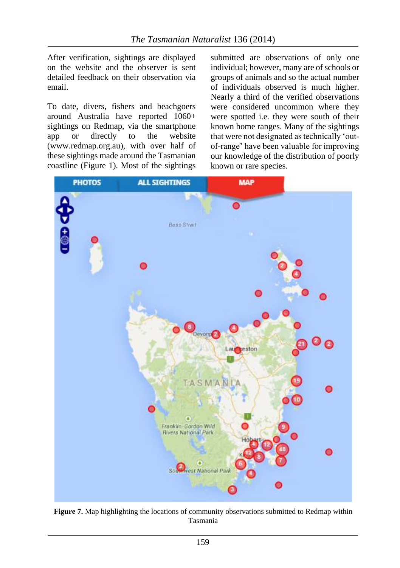After verification, sightings are displayed on the website and the observer is sent detailed feedback on their observation via email.

To date, divers, fishers and beachgoers around Australia have reported 1060+ sightings on Redmap, via the smartphone app or directly to the website (www.redmap.org.au), with over half of these sightings made around the Tasmanian coastline (Figure 1). Most of the sightings submitted are observations of only one individual; however, many are of schools or groups of animals and so the actual number of individuals observed is much higher. Nearly a third of the verified observations were considered uncommon where they were spotted i.e. they were south of their known home ranges. Many of the sightings that were not designated as technically 'outof-range' have been valuable for improving our knowledge of the distribution of poorly known or rare species.



**Figure 7.** Map highlighting the locations of community observations submitted to Redmap within Tasmania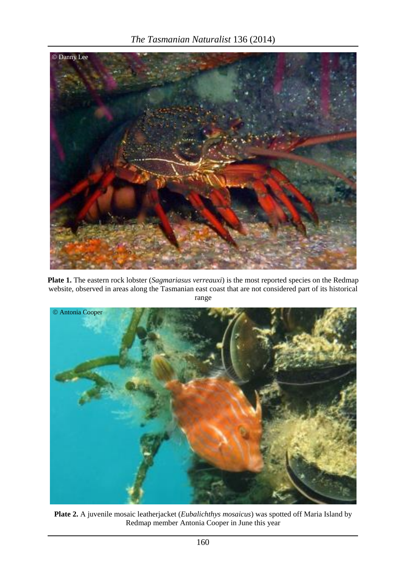

**Plate 1.** The eastern rock lobster (*Sagmariasus verreauxi*) is the most reported species on the Redmap website, observed in areas along the Tasmanian east coast that are not considered part of its historical range



**Plate 2.** A juvenile mosaic leatherjacket (*Eubalichthys mosaicus*) was spotted off Maria Island by Redmap member Antonia Cooper in June this year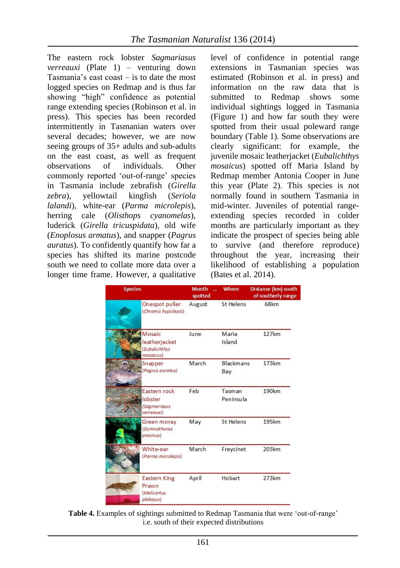The eastern rock lobster *Sagmariasus verreauxi* (Plate 1) – venturing down Tasmania's east coast – is to date the most logged species on Redmap and is thus far showing "high" confidence as potential range extending species (Robinson et al. in press). This species has been recorded intermittently in Tasmanian waters over several decades; however, we are now seeing groups of 35+ adults and sub-adults on the east coast, as well as frequent observations of individuals. Other commonly reported 'out-of-range' species in Tasmania include zebrafish (*Girella zebra*), yellowtail kingfish (*Seriola lalandi*), white-ear (*Parma microlepis*), herring cale (*Olisthops cyanomelas*), luderick (*Girella tricuspidata*), old wife (*Enoplosus armatus*), and snapper (*Pagrus auratus*). To confidently quantify how far a species has shifted its marine postcode south we need to collate more data over a longer time frame. However, a qualitative level of confidence in potential range extensions in Tasmanian species was estimated (Robinson et al. in press) and information on the raw data that is submitted to Redman shows some individual sightings logged in Tasmania (Figure 1) and how far south they were spotted from their usual poleward range boundary (Table 1). Some observations are clearly significant: for example, the juvenile mosaic leatherjacket (*Eubalichthys mosaicus*) spotted off Maria Island by Redmap member Antonia Cooper in June this year (Plate 2). This species is not normally found in southern Tasmania in mid-winter. Juveniles of potential rangeextending species recorded in colder months are particularly important as they indicate the prospect of species being able to survive (and therefore reproduce) throughout the year, increasing their likelihood of establishing a population (Bates et al. 2014).

| <b>Species</b> |                                                                    | <b>Month</b><br>m.<br>spotted | Where               | Distance (km) south<br>of southerly range |
|----------------|--------------------------------------------------------------------|-------------------------------|---------------------|-------------------------------------------|
|                | Onespot puller<br>(Chromis hypsilepis)                             | August                        | St Helens           | 68km                                      |
|                | Mosaic<br>leatherjacket<br>(Eubalichthys<br>mosaicus)              | June                          | Maria<br>Island     | 127km                                     |
|                | Snapper<br>(Pagrus auratus)                                        | March                         | Blackmans<br>Bay    | 173km                                     |
|                | Eastern rock<br>lobster<br><i><b>Sagmariasus</b></i><br>verreauxi) | Feb                           | Tasman<br>Peninsula | 190km                                     |
|                | Green moray<br>Gymnothorax<br>prasinus)                            | May                           | St Helens           | 195km                                     |
|                | White-ear<br>(Parma microlepis)                                    | March                         | Freycinet           | 203km                                     |
|                | <b>Eastern King</b><br>Prawn<br><i>(Melicertus</i><br>plebeius)    | April                         | Hobart              | 273km                                     |

**Table 4.** Examples of sightings submitted to Redmap Tasmania that were 'out-of-range' i.e. south of their expected distributions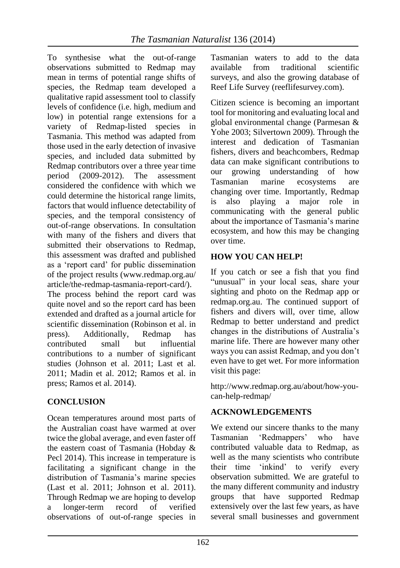To synthesise what the out-of-range observations submitted to Redmap may mean in terms of potential range shifts of species, the Redmap team developed a qualitative rapid assessment tool to classify levels of confidence (i.e. high, medium and low) in potential range extensions for a variety of Redmap-listed species in Tasmania. This method was adapted from those used in the early detection of invasive species, and included data submitted by Redmap contributors over a three year time period (2009-2012). The assessment considered the confidence with which we could determine the historical range limits, factors that would influence detectability of species, and the temporal consistency of out-of-range observations. In consultation with many of the fishers and divers that submitted their observations to Redmap, this assessment was drafted and published as a 'report card' for public dissemination of the project results (www.redmap.org.au/ article/the-redmap-tasmania-report-card/).

The process behind the report card was quite novel and so the report card has been extended and drafted as a journal article for scientific dissemination (Robinson et al. in press). Additionally, Redmap has contributed small but influential contributions to a number of significant studies (Johnson et al. 2011; Last et al. 2011; Madin et al. 2012; Ramos et al. in press; Ramos et al. 2014).

# **CONCLUSION**

Ocean temperatures around most parts of the Australian coast have warmed at over twice the global average, and even faster off the eastern coast of Tasmania (Hobday & Pecl 2014). This increase in temperature is facilitating a significant change in the distribution of Tasmania's marine species (Last et al. 2011; Johnson et al. 2011). Through Redmap we are hoping to develop a longer-term record of verified observations of out-of-range species in Tasmanian waters to add to the data available from traditional scientific surveys, and also the growing database of Reef Life Survey (reeflifesurvey.com).

Citizen science is becoming an important tool for monitoring and evaluating local and global environmental change (Parmesan & Yohe 2003; Silvertown 2009). Through the interest and dedication of Tasmanian fishers, divers and beachcombers, Redmap data can make significant contributions to our growing understanding of how Tasmanian marine ecosystems are changing over time. Importantly, Redmap is also playing a major role in communicating with the general public about the importance of Tasmania's marine ecosystem, and how this may be changing over time.

## **HOW YOU CAN HELP!**

If you catch or see a fish that you find "unusual" in your local seas, share your sighting and photo on the Redmap app or redmap.org.au. The continued support of fishers and divers will, over time, allow Redmap to better understand and predict changes in the distributions of Australia's marine life. There are however many other ways you can assist Redmap, and you don't even have to get wet. For more information visit this page:

http://www.redmap.org.au/about/how-youcan-help-redmap/

# **ACKNOWLEDGEMENTS**

We extend our sincere thanks to the many Tasmanian 'Redmappers' who have contributed valuable data to Redmap, as well as the many scientists who contribute their time 'inkind' to verify every observation submitted. We are grateful to the many different community and industry groups that have supported Redmap extensively over the last few years, as have several small businesses and government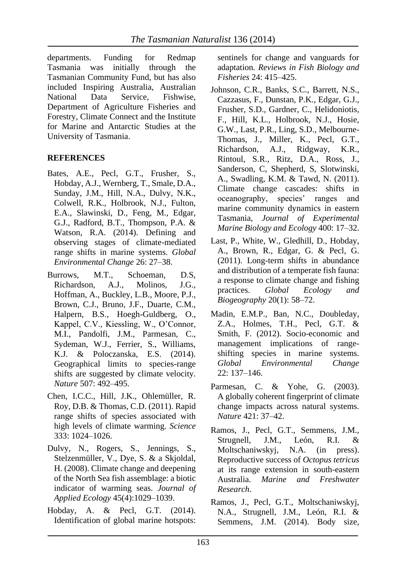departments. Funding for Redmap Tasmania was initially through the Tasmanian Community Fund, but has also included Inspiring Australia, Australian National Data Service, Fishwise, Department of Agriculture Fisheries and Forestry, Climate Connect and the Institute for Marine and Antarctic Studies at the University of Tasmania.

### **REFERENCES**

- Bates, A.E., Pecl, G.T., Frusher, S., Hobday, A.J., Wernberg, T., Smale, D.A., Sunday, J.M., Hill, N.A., Dulvy, N.K., Colwell, R.K., Holbrook, N.J., Fulton, E.A., Slawinski, D., Feng, M., Edgar, G.J., Radford, B.T., Thompson, P.A. & Watson, R.A. (2014). Defining and observing stages of climate-mediated range shifts in marine systems. *Global Environmental Change* 26: 27–38.
- Burrows, M.T., Schoeman, D.S, Richardson, A.J., Molinos, J.G., Hoffman, A., Buckley, L.B., Moore, P.J., Brown, C.J., Bruno, J.F., Duarte, C.M., Halpern, B.S., Hoegh-Guldberg, O., Kappel, C.V., Kiessling, W., O'Connor, M.I., Pandolfi, J.M., Parmesan, C., Sydeman, W.J., Ferrier, S., Williams, K.J. & Poloczanska, E.S. (2014). Geographical limits to species-range shifts are suggested by climate velocity. *Nature* 507: 492–495.
- Chen, I.C.C., Hill, J.K., Ohlemüller, R. Roy, D.B. & Thomas, C.D. (2011). Rapid range shifts of species associated with high levels of climate warming. *Science* 333: 1024–1026.
- Dulvy, N., Rogers, S., Jennings, S., Stelzenmüller, V., Dye, S. & a Skjoldal, H. (2008). Climate change and deepening of the North Sea fish assemblage: a biotic indicator of warming seas. *Journal of Applied Ecology* 45(4):1029–1039.
- Hobday, A. & Pecl, G.T. (2014). Identification of global marine hotspots:

sentinels for change and vanguards for adaptation. *Reviews in Fish Biology and Fisheries* 24: 415–425.

- Johnson, C.R., Banks, S.C., Barrett, N.S., Cazzasus, F., Dunstan, P.K., Edgar, G.J., Frusher, S.D., Gardner, C., Helidoniotis, F., Hill, K.L., Holbrook, N.J., Hosie, G.W., Last, P.R., Ling, S.D., Melbourne-Thomas, J., Miller, K., Pecl, G.T., Richardson, A.J., Ridgway, K.R., Rintoul, S.R., Ritz, D.A., Ross, J., Sanderson, C, Shepherd, S, Slotwinski, A., Swadling, K.M. & Tawd, N. (2011). Climate change cascades: shifts in oceanography, species' ranges and marine community dynamics in eastern Tasmania, *Journal of Experimental Marine Biology and Ecology* 400: 17–32.
- Last, P., White, W., Gledhill, D., Hobday, A., Brown, R., Edgar, G. & Pecl, G. (2011). Long-term shifts in abundance and distribution of a temperate fish fauna: a response to climate change and fishing practices. *Global Ecology and Biogeography* 20(1): 58–72.
- Madin, E.M.P., Ban, N.C., Doubleday, Z.A., Holmes, T.H., Pecl, G.T. & Smith, F. (2012). Socio-economic and management implications of rangeshifting species in marine systems. *Global Environmental Change* 22: 137–146.
- Parmesan, C. & Yohe, G. (2003). A globally coherent fingerprint of climate change impacts across natural systems. *Nature* 421: 37–42.
- Ramos, J., Pecl, G.T., Semmens, J.M., Strugnell, J.M., León, R.I. & Moltschaniwskyj, N.A. (in press). Reproductive success of *Octopus tetricus* at its range extension in south-eastern Australia. *Marine and Freshwater Research*.
- Ramos, J., Pecl, G.T., Moltschaniwskyj, N.A., Strugnell, J.M., León, R.I. & Semmens, J.M. (2014). Body size,